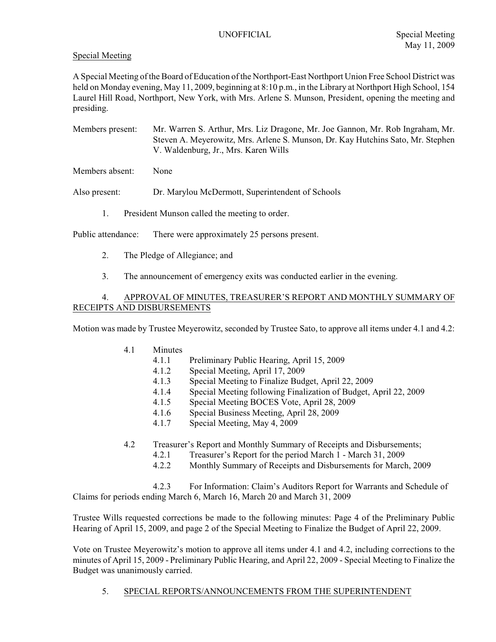### Special Meeting

A Special Meeting of the Board of Education of the Northport-East Northport Union Free School District was held on Monday evening, May 11, 2009, beginning at 8:10 p.m., in the Library at Northport High School, 154 Laurel Hill Road, Northport, New York, with Mrs. Arlene S. Munson, President, opening the meeting and presiding.

Members present: Mr. Warren S. Arthur, Mrs. Liz Dragone, Mr. Joe Gannon, Mr. Rob Ingraham, Mr. Steven A. Meyerowitz, Mrs. Arlene S. Munson, Dr. Kay Hutchins Sato, Mr. Stephen V. Waldenburg, Jr., Mrs. Karen Wills

Members absent: None

Also present: Dr. Marylou McDermott, Superintendent of Schools

1. President Munson called the meeting to order.

Public attendance: There were approximately 25 persons present.

- 2. The Pledge of Allegiance; and
- 3. The announcement of emergency exits was conducted earlier in the evening.

### 4. APPROVAL OF MINUTES, TREASURER'S REPORT AND MONTHLY SUMMARY OF RECEIPTS AND DISBURSEMENTS

Motion was made by Trustee Meyerowitz, seconded by Trustee Sato, to approve all items under 4.1 and 4.2:

- 4.1 Minutes
	- 4.1.1 Preliminary Public Hearing, April 15, 2009
	- 4.1.2 Special Meeting, April 17, 2009
	- 4.1.3 Special Meeting to Finalize Budget, April 22, 2009
	- 4.1.4 Special Meeting following Finalization of Budget, April 22, 2009
	- 4.1.5 Special Meeting BOCES Vote, April 28, 2009
	- 4.1.6 Special Business Meeting, April 28, 2009
	- 4.1.7 Special Meeting, May 4, 2009
- 4.2 Treasurer's Report and Monthly Summary of Receipts and Disbursements;
	- 4.2.1 Treasurer's Report for the period March 1 March 31, 2009
	- 4.2.2 Monthly Summary of Receipts and Disbursements for March, 2009

4.2.3 For Information: Claim's Auditors Report for Warrants and Schedule of Claims for periods ending March 6, March 16, March 20 and March 31, 2009

Trustee Wills requested corrections be made to the following minutes: Page 4 of the Preliminary Public Hearing of April 15, 2009, and page 2 of the Special Meeting to Finalize the Budget of April 22, 2009.

Vote on Trustee Meyerowitz's motion to approve all items under 4.1 and 4.2, including corrections to the minutes of April 15, 2009 - Preliminary Public Hearing, and April 22, 2009 - Special Meeting to Finalize the Budget was unanimously carried.

5. SPECIAL REPORTS/ANNOUNCEMENTS FROM THE SUPERINTENDENT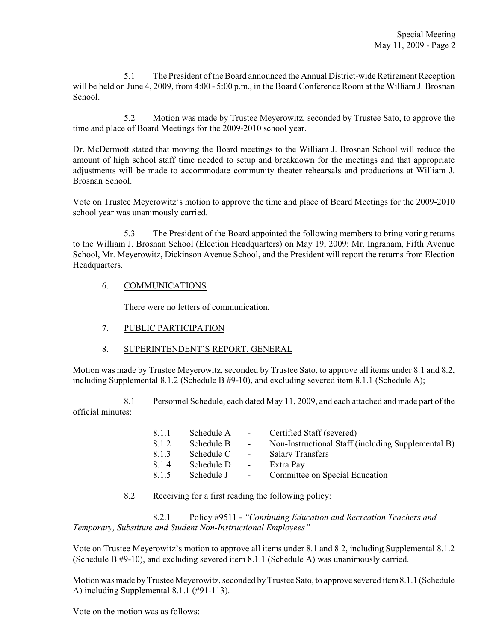5.1 The President of the Board announced the Annual District-wide Retirement Reception will be held on June 4, 2009, from 4:00 - 5:00 p.m., in the Board Conference Room at the William J. Brosnan School.

5.2 Motion was made by Trustee Meyerowitz, seconded by Trustee Sato, to approve the time and place of Board Meetings for the 2009-2010 school year.

Dr. McDermott stated that moving the Board meetings to the William J. Brosnan School will reduce the amount of high school staff time needed to setup and breakdown for the meetings and that appropriate adjustments will be made to accommodate community theater rehearsals and productions at William J. Brosnan School.

Vote on Trustee Meyerowitz's motion to approve the time and place of Board Meetings for the 2009-2010 school year was unanimously carried.

5.3 The President of the Board appointed the following members to bring voting returns to the William J. Brosnan School (Election Headquarters) on May 19, 2009: Mr. Ingraham, Fifth Avenue School, Mr. Meyerowitz, Dickinson Avenue School, and the President will report the returns from Election Headquarters.

# 6. COMMUNICATIONS

There were no letters of communication.

- 7. PUBLIC PARTICIPATION
- 8. SUPERINTENDENT'S REPORT, GENERAL

Motion was made by Trustee Meyerowitz, seconded by Trustee Sato, to approve all items under 8.1 and 8.2, including Supplemental 8.1.2 (Schedule B #9-10), and excluding severed item 8.1.1 (Schedule A);

8.1 Personnel Schedule, each dated May 11, 2009, and each attached and made part of the official minutes:

| 8.1.1 | Schedule A | $\sim$                   | Certified Staff (severed)                          |
|-------|------------|--------------------------|----------------------------------------------------|
| 8.1.2 | Schedule B | $\sim$                   | Non-Instructional Staff (including Supplemental B) |
| 8.1.3 | Schedule C | $\overline{\phantom{a}}$ | <b>Salary Transfers</b>                            |
| 8.1.4 | Schedule D | $\sim$                   | Extra Pay                                          |
| 8.1.5 | Schedule J | $\sim$                   | Committee on Special Education                     |

8.2 Receiving for a first reading the following policy:

8.2.1 Policy #9511 - *"Continuing Education and Recreation Teachers and Temporary, Substitute and Student Non-Instructional Employees"*

Vote on Trustee Meyerowitz's motion to approve all items under 8.1 and 8.2, including Supplemental 8.1.2 (Schedule B #9-10), and excluding severed item 8.1.1 (Schedule A) was unanimously carried.

Motion was made by Trustee Meyerowitz, seconded by Trustee Sato, to approve severed item 8.1.1 (Schedule A) including Supplemental 8.1.1 (#91-113).

Vote on the motion was as follows: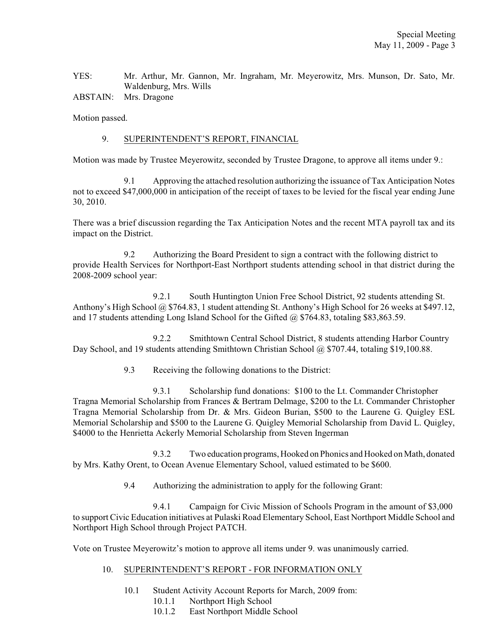YES: Mr. Arthur, Mr. Gannon, Mr. Ingraham, Mr. Meyerowitz, Mrs. Munson, Dr. Sato, Mr. Waldenburg, Mrs. Wills

ABSTAIN: Mrs. Dragone

Motion passed.

### 9. SUPERINTENDENT'S REPORT, FINANCIAL

Motion was made by Trustee Meyerowitz, seconded by Trustee Dragone, to approve all items under 9.:

9.1 Approving the attached resolution authorizing the issuance of Tax Anticipation Notes not to exceed \$47,000,000 in anticipation of the receipt of taxes to be levied for the fiscal year ending June 30, 2010.

There was a brief discussion regarding the Tax Anticipation Notes and the recent MTA payroll tax and its impact on the District.

9.2 Authorizing the Board President to sign a contract with the following district to provide Health Services for Northport-East Northport students attending school in that district during the 2008-2009 school year:

9.2.1 South Huntington Union Free School District, 92 students attending St. Anthony's High School @ \$764.83, 1 student attending St. Anthony's High School for 26 weeks at \$497.12, and 17 students attending Long Island School for the Gifted @ \$764.83, totaling \$83,863.59.

9.2.2 Smithtown Central School District, 8 students attending Harbor Country Day School, and 19 students attending Smithtown Christian School @ \$707.44, totaling \$19,100.88.

9.3 Receiving the following donations to the District:

9.3.1 Scholarship fund donations: \$100 to the Lt. Commander Christopher Tragna Memorial Scholarship from Frances & Bertram Delmage, \$200 to the Lt. Commander Christopher Tragna Memorial Scholarship from Dr. & Mrs. Gideon Burian, \$500 to the Laurene G. Quigley ESL Memorial Scholarship and \$500 to the Laurene G. Quigley Memorial Scholarship from David L. Quigley, \$4000 to the Henrietta Ackerly Memorial Scholarship from Steven Ingerman

9.3.2 Two education programs, Hooked on Phonics and Hooked on Math, donated by Mrs. Kathy Orent, to Ocean Avenue Elementary School, valued estimated to be \$600.

9.4 Authorizing the administration to apply for the following Grant:

9.4.1 Campaign for Civic Mission of Schools Program in the amount of \$3,000 to support Civic Education initiatives at Pulaski Road Elementary School, East Northport Middle School and Northport High School through Project PATCH.

Vote on Trustee Meyerowitz's motion to approve all items under 9. was unanimously carried.

#### 10. SUPERINTENDENT'S REPORT - FOR INFORMATION ONLY

- 10.1 Student Activity Account Reports for March, 2009 from:
	- 10.1.1 Northport High School
	- 10.1.2 East Northport Middle School